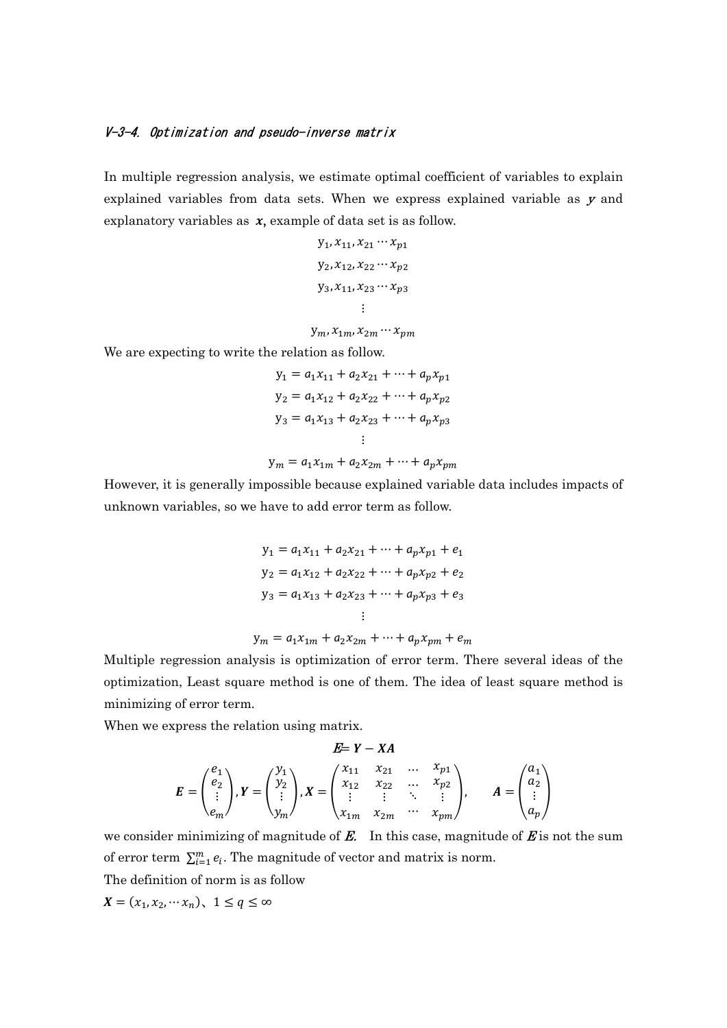## V-3-4. Optimization and pseudo-inverse matrix

In multiple regression analysis, we estimate optimal coefficient of variables to explain explained variables from data sets. When we express explained variable as  $y$  and explanatory variables as  $x$ , example of data set is as follow.

$$
y_1, x_{11}, x_{21} \cdots x_{p1}
$$
  

$$
y_2, x_{12}, x_{22} \cdots x_{p2}
$$
  

$$
y_3, x_{11}, x_{23} \cdots x_{p3}
$$
  

$$
\vdots
$$

 $y_m, x_{1m}, x_{2m} \cdots x_{nm}$ 

We are expecting to write the relation as follow.

$$
y_1 = a_1 x_{11} + a_2 x_{21} + \dots + a_p x_{p1}
$$
  
\n
$$
y_2 = a_1 x_{12} + a_2 x_{22} + \dots + a_p x_{p2}
$$
  
\n
$$
y_3 = a_1 x_{13} + a_2 x_{23} + \dots + a_p x_{p3}
$$
  
\n
$$
\vdots
$$

$$
y_m = a_1 x_{1m} + a_2 x_{2m} + \dots + a_p x_{pm}
$$

However, it is generally impossible because explained variable data includes impacts of unknown variables, so we have to add error term as follow.

$$
y_1 = a_1 x_{11} + a_2 x_{21} + \dots + a_p x_{p1} + e_1
$$
  
\n
$$
y_2 = a_1 x_{12} + a_2 x_{22} + \dots + a_p x_{p2} + e_2
$$
  
\n
$$
y_3 = a_1 x_{13} + a_2 x_{23} + \dots + a_p x_{p3} + e_3
$$
  
\n
$$
\vdots
$$

$$
y_m = a_1 x_{1m} + a_2 x_{2m} + \dots + a_p x_{pm} + e_m
$$

Multiple regression analysis is optimization of error term. There several ideas of the optimization, Least square method is one of them. The idea of least square method is minimizing of error term.

When we express the relation using matrix.

$$
E = Y - XA
$$
  
\n
$$
E = \begin{pmatrix} e_1 \\ e_2 \\ \vdots \\ e_m \end{pmatrix}, Y = \begin{pmatrix} y_1 \\ y_2 \\ \vdots \\ y_m \end{pmatrix}, X = \begin{pmatrix} x_{11} & x_{21} & \dots & x_{p1} \\ x_{12} & x_{22} & \dots & x_{p2} \\ \vdots & \vdots & \ddots & \vdots \\ x_{1m} & x_{2m} & \dots & x_{pm} \end{pmatrix}, \qquad A = \begin{pmatrix} a_1 \\ a_2 \\ \vdots \\ a_p \end{pmatrix}
$$

we consider minimizing of magnitude of  $E$ . In this case, magnitude of  $E$  is not the sum of error term  $\sum_{i=1}^{m} e_i$ . The magnitude of vector and matrix is norm.

The definition of norm is as follow

 $X = (x_1, x_2, \cdots x_n), \ \ 1 \le q \le \infty$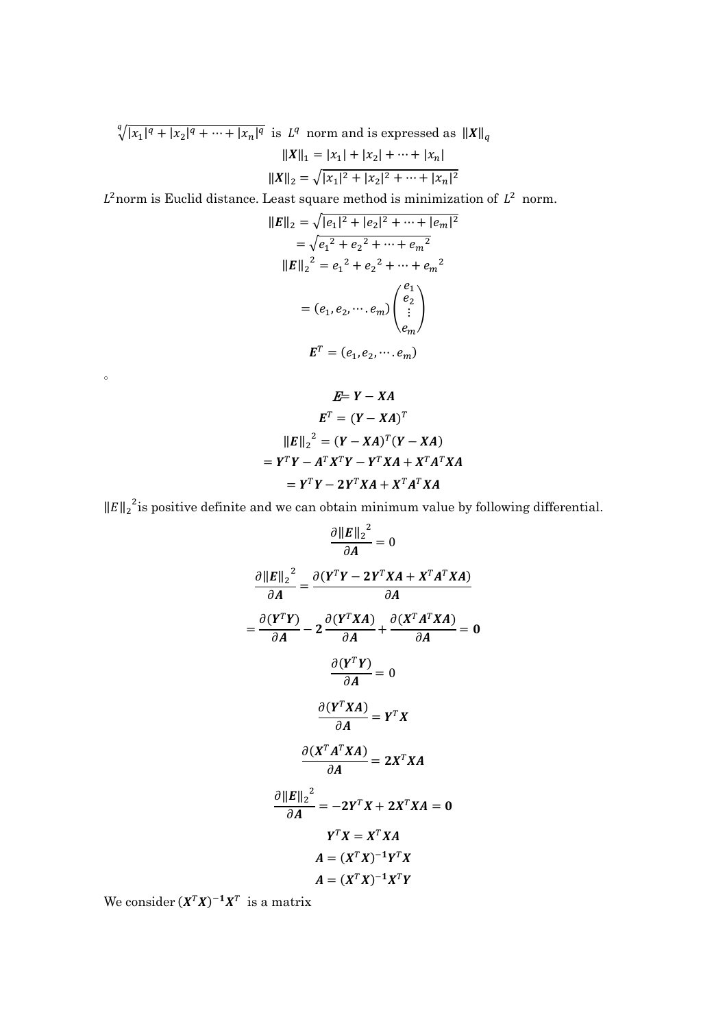$\sqrt[q]{|x_1|^q + |x_2|^q + \cdots + |x_n|^q}$  is  $L^q$  norm and is expressed as  $||X||_q$ 

$$
||X||_1 = |x_1| + |x_2| + \dots + |x_n|
$$
  

$$
||X||_2 = \sqrt{|x_1|^2 + |x_2|^2 + \dots + |x_n|^2}
$$

 $L^2$ norm is Euclid distance. Least square method is minimization of  $L^2$  norm.

$$
||E||_2 = \sqrt{|e_1|^2 + |e_2|^2 + \dots + |e_m|^2}
$$
  
=  $\sqrt{e_1^2 + e_2^2 + \dots + e_m^2}$   

$$
||E||_2^2 = e_1^2 + e_2^2 + \dots + e_m^2
$$
  
=  $(e_1, e_2, \dots, e_m)$  $\begin{pmatrix} e_1 \\ e_2 \\ \vdots \\ e_m \end{pmatrix}$   

$$
E^T = (e_1, e_2, \dots, e_m)
$$

$$
E= Y - XA
$$
  
\n
$$
ET = (Y - XA)T
$$
  
\n
$$
||E||_2^2 = (Y - XA)T (Y - XA)
$$
  
\n
$$
= YT Y - AT XT Y - YT XA + XT AT XA
$$
  
\n
$$
= YT Y - 2YT XA + XT AT XA
$$

 $\left\|E\right\|_2^2$  is positive definite and we can obtain minimum value by following differential.

$$
\frac{\partial ||E||_2^2}{\partial A} = 0
$$

$$
\frac{\partial ||E||_2^2}{\partial A} = \frac{\partial (Y^T Y - 2Y^T X A + X^T A^T X A)}{\partial A}
$$

$$
= \frac{\partial (Y^T Y)}{\partial A} - 2 \frac{\partial (Y^T X A)}{\partial A} + \frac{\partial (X^T A^T X A)}{\partial A} = 0
$$

$$
\frac{\partial (Y^T Y)}{\partial A} = 0
$$

$$
\frac{\partial (Y^T X A)}{\partial A} = Y^T X
$$

$$
\frac{\partial (X^T A^T X A)}{\partial A} = 2X^T X A
$$

$$
\frac{\partial ||E||_2^2}{\partial A} = -2Y^T X + 2X^T X A = 0
$$

$$
Y^T X = X^T X A
$$

$$
A = (X^T X)^{-1} Y^T X
$$

$$
A = (X^T X)^{-1} X^T Y
$$

We consider  $(X^TX)^{-1}X^T$  is a matrix

 $\circ$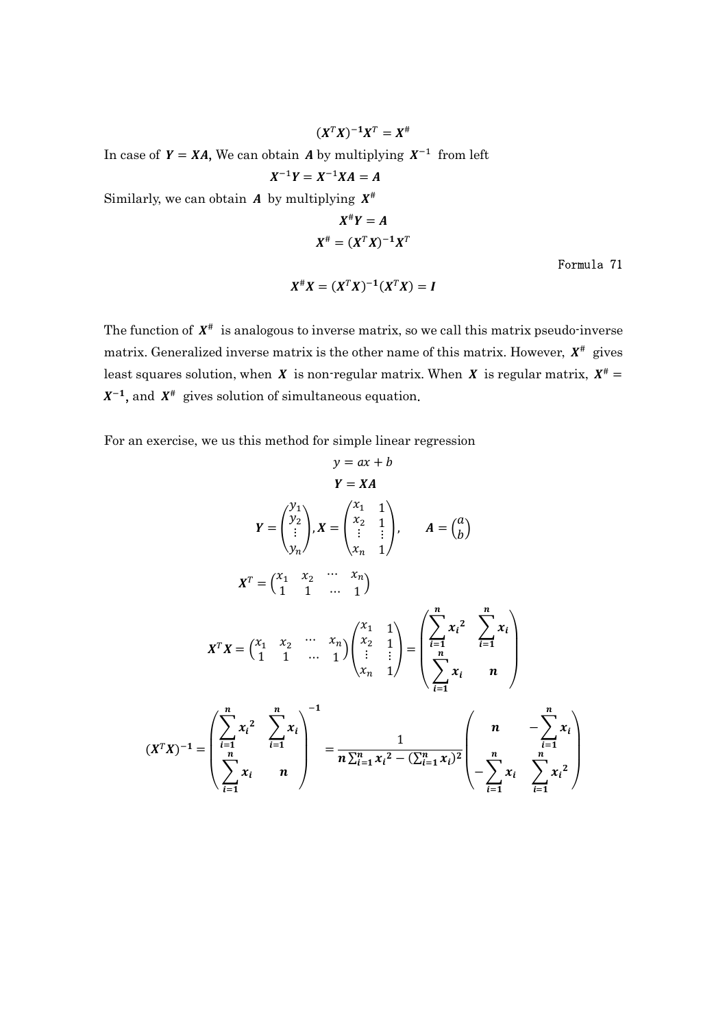$(X^T X)^{-1} X^T = X^{\#}$ 

In case of  $Y = XA$ , We can obtain A by multiplying  $X^{-1}$  from left

$$
X^{-1}Y=X^{-1}XA=A
$$

Similarly, we can obtain  $A$  by multiplying  $X^{\#}$ 

$$
X^{\#}Y = A
$$

$$
X^{\#} = (X^TX)^{-1}X^T
$$

Formula 71

$$
X^{\#}X = (X^TX)^{-1}(X^TX) = I
$$

The function of  $X^*$  is analogous to inverse matrix, so we call this matrix pseudo-inverse matrix. Generalized inverse matrix is the other name of this matrix. However,  $X^*$  gives least squares solution, when X is non-regular matrix. When X is regular matrix,  $X^{\#}$  =  $X^{-1}$ , and  $X^{\#}$  gives solution of simultaneous equation.

For an exercise, we us this method for simple linear regression

$$
y = ax + b
$$
  
\n
$$
Y = XA
$$
  
\n
$$
Y = \begin{pmatrix} y_1 \\ y_2 \\ \vdots \\ y_n \end{pmatrix}, X = \begin{pmatrix} x_1 & 1 \\ x_2 & 1 \\ \vdots & \vdots \\ x_n & 1 \end{pmatrix}, A = \begin{pmatrix} a \\ b \end{pmatrix}
$$
  
\n
$$
X^T = \begin{pmatrix} x_1 & x_2 & \cdots & x_n \\ 1 & 1 & \cdots & 1 \end{pmatrix}
$$
  
\n
$$
X^T X = \begin{pmatrix} x_1 & x_2 & \cdots & x_n \\ 1 & 1 & \cdots & 1 \end{pmatrix} \begin{pmatrix} x_1 & 1 \\ x_2 & 1 \\ \vdots & \vdots \\ x_n & 1 \end{pmatrix} = \begin{pmatrix} \sum_{i=1}^{n} x_i^2 & \sum_{i=1}^{n} x_i \\ \sum_{i=1}^{n} x_i & n \end{pmatrix}
$$
  
\n
$$
(X^T X)^{-1} = \begin{pmatrix} \sum_{i=1}^{n} x_i^2 & \sum_{i=1}^{n} x_i \\ \sum_{i=1}^{n} x_i & n \end{pmatrix}^{-1} = \frac{1}{n \sum_{i=1}^{n} x_i^2 - (\sum_{i=1}^{n} x_i)^2} \begin{pmatrix} n & -\sum_{i=1}^{n} x_i \\ -\sum_{i=1}^{n} x_i & \sum_{i=1}^{n} x_i^2 \end{pmatrix}
$$